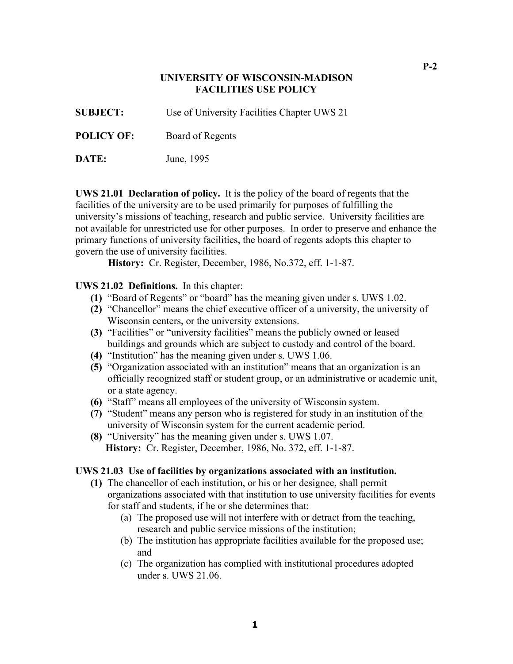### **UNIVERSITY OF WISCONSIN-MADISON FACILITIES USE POLICY**

**SUBJECT:** Use of University Facilities Chapter UWS 21

**POLICY OF:** Board of Regents

**DATE:** June, 1995

**UWS 21.01 Declaration of policy.** It is the policy of the board of regents that the facilities of the university are to be used primarily for purposes of fulfilling the university's missions of teaching, research and public service. University facilities are not available for unrestricted use for other purposes. In order to preserve and enhance the primary functions of university facilities, the board of regents adopts this chapter to govern the use of university facilities.

**History:** Cr. Register, December, 1986, No.372, eff. 1-1-87.

#### **UWS 21.02 Definitions.** In this chapter:

- **(1)** "Board of Regents" or "board" has the meaning given under s. UWS 1.02.
- **(2)** "Chancellor" means the chief executive officer of a university, the university of Wisconsin centers, or the university extensions.
- **(3)** "Facilities" or "university facilities" means the publicly owned or leased buildings and grounds which are subject to custody and control of the board.
- **(4)** "Institution" has the meaning given under s. UWS 1.06.
- **(5)** "Organization associated with an institution" means that an organization is an officially recognized staff or student group, or an administrative or academic unit, or a state agency.
- **(6)** "Staff" means all employees of the university of Wisconsin system.
- **(7)** "Student" means any person who is registered for study in an institution of the university of Wisconsin system for the current academic period.
- **(8)** "University" has the meaning given under s. UWS 1.07. **History:** Cr. Register, December, 1986, No. 372, eff. 1-1-87.

#### **UWS 21.03 Use of facilities by organizations associated with an institution.**

- **(1)** The chancellor of each institution, or his or her designee, shall permit organizations associated with that institution to use university facilities for events for staff and students, if he or she determines that:
	- (a) The proposed use will not interfere with or detract from the teaching, research and public service missions of the institution;
	- (b) The institution has appropriate facilities available for the proposed use; and
	- (c) The organization has complied with institutional procedures adopted under s. UWS 21.06.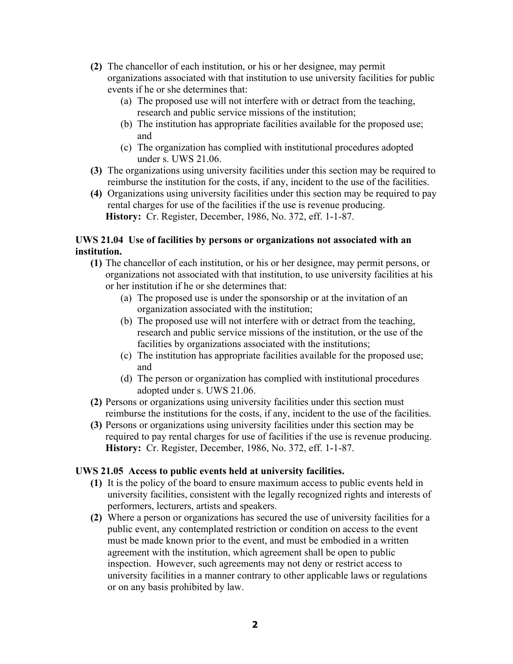- **(2)** The chancellor of each institution, or his or her designee, may permit organizations associated with that institution to use university facilities for public events if he or she determines that:
	- (a) The proposed use will not interfere with or detract from the teaching, research and public service missions of the institution;
	- (b) The institution has appropriate facilities available for the proposed use; and
	- (c) The organization has complied with institutional procedures adopted under s. UWS 21.06.
- **(3)** The organizations using university facilities under this section may be required to reimburse the institution for the costs, if any, incident to the use of the facilities.
- **(4)** Organizations using university facilities under this section may be required to pay rental charges for use of the facilities if the use is revenue producing. **History:** Cr. Register, December, 1986, No. 372, eff. 1-1-87.

## **UWS 21.04 Use of facilities by persons or organizations not associated with an institution.**

- **(1)** The chancellor of each institution, or his or her designee, may permit persons, or organizations not associated with that institution, to use university facilities at his or her institution if he or she determines that:
	- (a) The proposed use is under the sponsorship or at the invitation of an organization associated with the institution;
	- (b) The proposed use will not interfere with or detract from the teaching, research and public service missions of the institution, or the use of the facilities by organizations associated with the institutions;
	- (c) The institution has appropriate facilities available for the proposed use; and
	- (d) The person or organization has complied with institutional procedures adopted under s. UWS 21.06.
- **(2)** Persons or organizations using university facilities under this section must reimburse the institutions for the costs, if any, incident to the use of the facilities.
- **(3)** Persons or organizations using university facilities under this section may be required to pay rental charges for use of facilities if the use is revenue producing. **History:** Cr. Register, December, 1986, No. 372, eff. 1-1-87.

# **UWS 21.05 Access to public events held at university facilities.**

- **(1)** It is the policy of the board to ensure maximum access to public events held in university facilities, consistent with the legally recognized rights and interests of performers, lecturers, artists and speakers.
- **(2)** Where a person or organizations has secured the use of university facilities for a public event, any contemplated restriction or condition on access to the event must be made known prior to the event, and must be embodied in a written agreement with the institution, which agreement shall be open to public inspection. However, such agreements may not deny or restrict access to university facilities in a manner contrary to other applicable laws or regulations or on any basis prohibited by law.